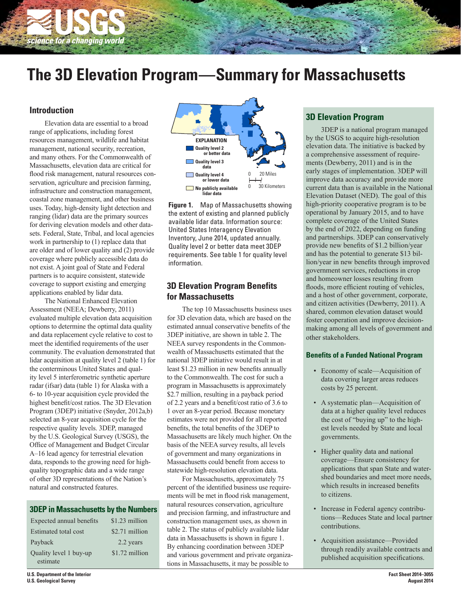

# **The 3D Elevation Program—Summary for Massachusetts**

## **Introduction**

Elevation data are essential to a broad range of applications, including forest resources management, wildlife and habitat management, national security, recreation, and many others. For the Commonwealth of Massachusetts, elevation data are critical for flood risk management, natural resources conservation, agriculture and precision farming, infrastructure and construction management, coastal zone management, and other business uses. Today, high-density light detection and ranging (lidar) data are the primary sources for deriving elevation models and other datasets. Federal, State, Tribal, and local agencies work in partnership to (1) replace data that are older and of lower quality and (2) provide coverage where publicly accessible data do not exist. A joint goal of State and Federal partners is to acquire consistent, statewide coverage to support existing and emerging applications enabled by lidar data.

The National Enhanced Elevation Assessment (NEEA; Dewberry, 2011) evaluated multiple elevation data acquisition options to determine the optimal data quality and data replacement cycle relative to cost to meet the identified requirements of the user community. The evaluation demonstrated that lidar acquisition at quality level 2 (table 1) for the conterminous United States and quality level 5 interferometric synthetic aperture radar (ifsar) data (table 1) for Alaska with a 6- to 10-year acquisition cycle provided the highest benefit/cost ratios. The 3D Elevation Program (3DEP) initiative (Snyder, 2012a,b) selected an 8-year acquisition cycle for the respective quality levels. 3DEP, managed by the U.S. Geological Survey (USGS), the Office of Management and Budget Circular A–16 lead agency for terrestrial elevation data, responds to the growing need for highquality topographic data and a wide range of other 3D representations of the Nation's natural and constructed features.

#### **3DEP in Massachusetts by the Numbers**

| Expected annual benefits | $$1.23$ million |
|--------------------------|-----------------|
| Estimated total cost     | \$2.71 million  |
| Payback                  | 2.2 years       |
| Quality level 1 buy-up   | \$1.72 million  |
| estimate                 |                 |



**Figure 1.** Map of Massachusetts showing the extent of existing and planned publicly available lidar data. Information source: United States Interagency Elevation Inventory, June 2014, updated annually. Quality level 2 or better data meet 3DEP requirements. See table 1 for quality level information.

## **3D Elevation Program Benefits for Massachusetts**

The top 10 Massachusetts business uses for 3D elevation data, which are based on the estimated annual conservative benefits of the 3DEP initiative, are shown in table 2. The NEEA survey respondents in the Commonwealth of Massachusetts estimated that the national 3DEP initiative would result in at least \$1.23 million in new benefits annually to the Commonwealth. The cost for such a program in Massachusetts is approximately \$2.7 million, resulting in a payback period of 2.2 years and a benefit/cost ratio of 3.6 to 1 over an 8-year period. Because monetary estimates were not provided for all reported benefits, the total benefits of the 3DEP to Massachusetts are likely much higher. On the basis of the NEEA survey results, all levels of government and many organizations in Massachusetts could benefit from access to statewide high-resolution elevation data.

For Massachusetts, approximately 75 percent of the identified business use requirements will be met in flood risk management, natural resources conservation, agriculture and precision farming, and infrastructure and construction management uses, as shown in table 2. The status of publicly available lidar data in Massachusetts is shown in figure 1. By enhancing coordination between 3DEP and various government and private organizations in Massachusetts, it may be possible to

## **3D Elevation Program**

3DEP is a national program managed by the USGS to acquire high-resolution elevation data. The initiative is backed by a comprehensive assessment of requirements (Dewberry, 2011) and is in the early stages of implementation. 3DEP will improve data accuracy and provide more current data than is available in the National Elevation Dataset (NED). The goal of this high-priority cooperative program is to be operational by January 2015, and to have complete coverage of the United States by the end of 2022, depending on funding and partnerships. 3DEP can conservatively provide new benefits of \$1.2 billion/year and has the potential to generate \$13 billion/year in new benefits through improved government services, reductions in crop and homeowner losses resulting from floods, more efficient routing of vehicles, and a host of other government, corporate, and citizen activities (Dewberry, 2011). A shared, common elevation dataset would foster cooperation and improve decisionmaking among all levels of government and other stakeholders.

#### **Benefits of a Funded National Program**

- Economy of scale—Acquisition of data covering larger areas reduces costs by 25 percent.
- A systematic plan—Acquisition of data at a higher quality level reduces the cost of "buying up" to the highest levels needed by State and local governments.
- Higher quality data and national coverage—Ensure consistency for applications that span State and watershed boundaries and meet more needs, which results in increased benefits to citizens.
- Increase in Federal agency contributions—Reduces State and local partner contributions.
- Acquisition assistance—Provided through readily available contracts and published acquisition specifications.